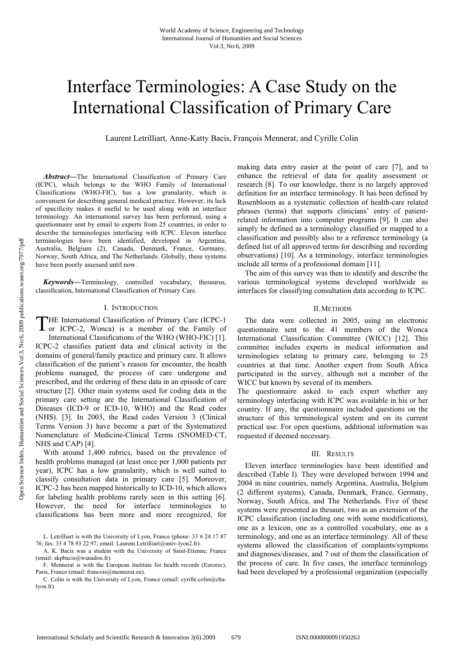# Interface Terminologies: A Case Study on the International Classification of Primary Care

Laurent Letrilliart, Anne-Katty Bacis, François Mennerat, and Cyrille Colin

*Abstract***—**The International Classification of Primary Care (ICPC), which belongs to the WHO Family of International Classifications (WHO-FIC), has a low granularity, which is convenient for describing general medical practice. However, its lack of specificity makes it useful to be used along with an interface terminology. An international survey has been performed, using a questionnaire sent by email to experts from 25 countries, in order to describe the terminologies interfacing with ICPC. Eleven interface terminologies have been identified, developed in Argentina, Australia, Belgium (2), Canada, Denmark, France, Germany, Norway, South Africa, and The Netherlands. Globally, these systems have been poorly assessed until now.

*Keywords***—**Terminology, controlled vocabulary, thesaurus, classification, International Classification of Primary Care.

## I. INTRODUCTION

THE International Classification of Primary Care (ICPC-1 or ICPC-2, Wonca) is a member of the Family of or ICPC-2, Wonca) is a member of the Family of International Classifications of the WHO (WHO-FIC) [1]. ICPC-2 classifies patient data and clinical activity in the domains of general/family practice and primary care. It allows classification of the patient's reason for encounter, the health problems managed, the process of care undergone and prescribed, and the ordering of these data in an episode of care structure [2]. Other main systems used for coding data in the primary care setting are the International Classification of Diseases (ICD-9 or ICD-10, WHO) and the Read codes (NHS). [3]. In 2003, the Read codes Version 3 (Clinical Terms Version 3) have become a part of the Systematized Nomenclature of Medicine-Clinical Terms (SNOMED-CT, NHS and CAP) [4].

With around 1,400 rubrics, based on the prevalence of health problems managed (at least once per 1,000 patients per year), ICPC has a low granularity, which is well suited to classify consultation data in primary care [5]. Moreover, ICPC-2 has been mapped historically to ICD-10, which allows for labeling health problems rarely seen in this setting [6]. However, the need for interface terminologies to classifications has been more and more recognized, for

making data entry easier at the point of care [7], and to enhance the retrieval of data for quality assessment or research [8]. To our knowledge, there is no largely approved definition for an interface terminology. It has been defined by Rosenbloom as a systematic collection of health-care related phrases (terms) that supports clinicians' entry of patientrelated information into computer programs [9]. It can also simply be defined as a terminology classified or mapped to a classification and possibly also to a reference terminology (a defined list of all approved terms for describing and recording observations) [10]. As a terminology, interface terminologies include all terms of a professional domain [11].

The aim of this survey was then to identify and describe the various terminological systems developed worldwide as interfaces for classifying consultation data according to ICPC.

### II.METHODS

The data were collected in 2005, using an electronic questionnaire sent to the 41 members of the Wonca International Classification Committee (WICC) [12]. This committee includes experts in medical information and terminologies relating to primary care, belonging to 25 countries at that time. Another expert from South Africa participated in the survey, although not a member of the WICC but known by several of its members.

The questionnaire asked to each expert whether any terminology interfacing with ICPC was available in his or her country. If any, the questionnaire included questions on the structure of this terminological system and on its current practical use. For open questions, additional information was requested if deemed necessary.

#### III. RESULTS

Eleven interface terminologies have been identified and described (Table I). They were developed between 1994 and 2004 in nine countries, namely Argentina, Australia, Belgium (2 different systems), Canada, Denmark, France, Germany, Norway, South Africa, and The Netherlands. Five of these systems were presented as thesauri, two as an extension of the ICPC classification (including one with some modifications), one as a lexicon, one as a controlled vocabulary, one as a terminology, and one as an interface terminology. All of these systems allowed the classification of complaints/symptoms and diagnoses/diseases, and 7 out of them the classification of the process of care. In five cases, the interface terminology had been developed by a professional organization (especially

L. Letrilliart is with the University of Lyon, France (phone: 33 6 24 17 87 76; fax: 33 4 78 93 22 97; email: Laurent.Letrilliart@univ-lyon2.fr).

A. K. Bacis was a student with the University of Saint-Etienne, France (email: akpbacis@wanadoo.fr).

F. Mennerat is with the European Institute for health records (Eurorec), Paris, France (email: francois@mennerat.eu).

C. Colin is with the University of Lyon, France (email: cyrille.colin@chulyon fr).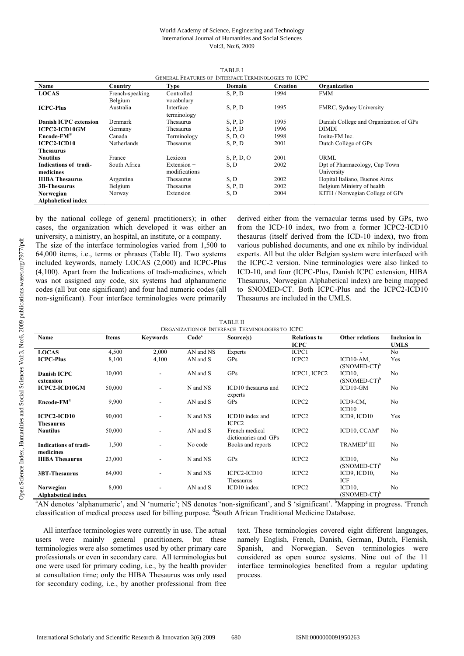#### World Academy of Science, Engineering and Technology International Journal of Humanities and Social Sciences Vol:3, No:6, 2009

| GENERAL FEATURES OF INTERFACE TERMINOLOGIES TO ICPC |                 |                  |            |                 |                                        |  |
|-----------------------------------------------------|-----------------|------------------|------------|-----------------|----------------------------------------|--|
| Name                                                | Country         | <b>Type</b>      | Domain     | <b>Creation</b> | Organization                           |  |
| <b>LOCAS</b>                                        | French-speaking | Controlled       | S. P. D    | 1994            | <b>FMM</b>                             |  |
|                                                     | Belgium         | vocabulary       |            |                 |                                        |  |
| <b>ICPC-Plus</b>                                    | Australia       | Interface        | S, P, D    | 1995            | FMRC, Sydney University                |  |
|                                                     |                 | terminology      |            |                 |                                        |  |
| Danish ICPC extension                               | Denmark         | Thesaurus        | S, P, D    | 1995            | Danish College and Organization of GPs |  |
| <b>ICPC2-ICD10GM</b>                                | Germany         | <b>Thesaurus</b> | S. P. D    | 1996            | <b>DIMDI</b>                           |  |
| $\mathbf{Encode}\text{-}\mathbf{FM}^{\circledast}$  | Canada          | Terminology      | S, D, O    | 1998            | Insite-FM Inc.                         |  |
| <b>ICPC2-ICD10</b>                                  | Netherlands     | Thesaurus        | S, P, D    | 2001            | Dutch Collège of GPs                   |  |
| Thesaurus                                           |                 |                  |            |                 |                                        |  |
| <b>Nautilus</b>                                     | France          | Lexicon          | S, P, D, O | 2001            | <b>URML</b>                            |  |
| Indications of tradi-                               | South Africa    | Extension $+$    | S, D       | 2002            | Dpt of Pharmacology, Cap Town          |  |
| medicines                                           |                 | modifications    |            |                 | University                             |  |
| <b>HIBA Thesaurus</b>                               | Argentina       | <b>Thesaurus</b> | S, D       | 2002            | Hopital Italiano, Buenos Aires         |  |
| <b>3B-Thesaurus</b>                                 | Belgium         | Thesaurus        | S, P, D    | 2002            | Belgium Ministry of health             |  |
| Norwegian                                           | Norway          | Extension        | S, D       | 2004            | KITH / Norwegian College of GPs        |  |
| Alphabetical index                                  |                 |                  |            |                 |                                        |  |

TABLE I

by the national college of general practitioners); in other cases, the organization which developed it was either an university, a ministry, an hospital, an institute, or a company.

The size of the interface terminologies varied from 1,500 to 64,000 items, i.e., terms or phrases (Table II). Two systems included keywords, namely LOCAS (2,000) and ICPC-Plus (4,100). Apart from the Indications of tradi-medicines, which was not assigned any code, six systems had alphanumeric codes (all but one significant) and four had numeric codes (all non-significant). Four interface terminologies were primarily derived either from the vernacular terms used by GPs, two from the ICD-10 index, two from a former ICPC2-ICD10 thesaurus (itself derived from the ICD-10 index), two from various published documents, and one ex nihilo by individual experts. All but the older Belgian system were interfaced with the ICPC-2 version. Nine terminologies were also linked to ICD-10, and four (ICPC-Plus, Danish ICPC extension, HIBA Thesaurus, Norwegian Alphabetical index) are being mapped to SNOMED-CT. Both ICPC-Plus and the ICPC2-ICD10 Thesaurus are included in the UMLS.

| <b>TABLE II</b> |  |                               |  |  |  |  |
|-----------------|--|-------------------------------|--|--|--|--|
|                 |  | FION OF INTERFACE TERMINOLOGY |  |  |  |  |

| ORGANIZATION OF INTERFACE TERMINOLOGIES TO ICPC    |              |                 |                   |                                        |                     |                                      |                     |
|----------------------------------------------------|--------------|-----------------|-------------------|----------------------------------------|---------------------|--------------------------------------|---------------------|
| Name                                               | <b>Items</b> | <b>Keywords</b> | Code <sup>a</sup> | Source(s)                              | <b>Relations to</b> | <b>Other relations</b>               | <b>Inclusion</b> in |
|                                                    |              |                 |                   |                                        | <b>ICPC</b>         |                                      | <b>UMLS</b>         |
| <b>LOCAS</b>                                       | 4,500        | 2,000           | AN and NS         | Experts                                | ICPC1               |                                      | N <sub>o</sub>      |
| <b>ICPC-Plus</b>                                   | 8,100        | 4,100           | AN and S          | GPS                                    | ICPC2               | ICD10-AM,<br>$(SNOMED-CT)^b$         | Yes                 |
| <b>Danish ICPC</b><br>extension                    | 10,000       |                 | AN and S          | GPs                                    | ICPC1, ICPC2        | $ICD10$ ,<br>$(SNOMED-CT)^b$         | No                  |
| ICPC2-ICD10GM                                      | 50,000       |                 | N and NS          | ICD10 thesaurus and<br>experts         | ICPC2               | $ICD10-GM$                           | No                  |
| $\mathbf{Encode}\text{-}\mathbf{FM}^{\circledast}$ | 9,900        |                 | AN and S          | GPs                                    | ICPC2               | ICD9-CM,<br>ICD10                    | No                  |
| <b>ICPC2-ICD10</b><br><b>Thesaurus</b>             | 90,000       |                 | N and NS          | ICD10 index and<br>ICPC <sub>2</sub>   | ICPC <sub>2</sub>   | ICD9, ICD10                          | Yes                 |
| <b>Nautilus</b>                                    | 50,000       |                 | AN and S          | French medical<br>dictionaries and GPs | ICPC2               | ICD10, CCAM <sup>c</sup>             | N <sub>0</sub>      |
| <b>Indications of tradi-</b><br>medicines          | 1,500        |                 | No code           | Books and reports                      | ICPC2               | TRAMED <sup>d</sup> III              | N <sub>o</sub>      |
| <b>HIBA Thesaurus</b>                              | 23,000       |                 | N and NS          | <b>GPs</b>                             | ICPC <sub>2</sub>   | ICD <sub>10</sub><br>$(SNOMED-CT)^b$ | No                  |
| <b>3BT-Thesaurus</b>                               | 64,000       |                 | N and NS          | ICPC2-ICD10<br>Thesaurus               | ICPC <sub>2</sub>   | ICD9, ICD10,<br>ICF                  | No                  |
| Norwegian<br>Alphabetical index                    | 8,000        |                 | AN and S          | ICD10 index                            | ICPC <sub>2</sub>   | $ICD10$ ,<br>$(SNOMED-CT)^b$         | No                  |

<sup>a</sup>AN denotes 'alphanumeric', and N 'numeric'; NS denotes 'non-significant', and S 'significant'. <sup>b</sup>Mapping in progress. <sup>c</sup>French classification of medical process used for billing purpose. <sup>d</sup>South African Traditional Medicine Database.

All interface terminologies were currently in use. The actual users were mainly general practitioners, but these terminologies were also sometimes used by other primary care professionals or even in secondary care. All terminologies but one were used for primary coding, i.e., by the health provider at consultation time; only the HIBA Thesaurus was only used for secondary coding, i.e., by another professional from free text. These terminologies covered eight different languages, namely English, French, Danish, German, Dutch, Flemish, Spanish, and Norwegian. Seven terminologies were considered as open source systems. Nine out of the 11 interface terminologies benefited from a regular updating process.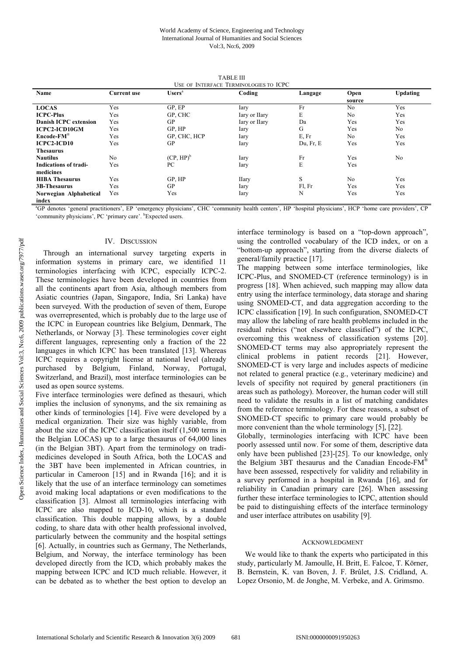| USE OF INTERFACE TERMINOLOGIES TO ICPC             |                    |              |              |           |                |                 |  |
|----------------------------------------------------|--------------------|--------------|--------------|-----------|----------------|-----------------|--|
| Name                                               | <b>Current use</b> | $Usersa$     | Coding       | Langage   | Open           | <b>Updating</b> |  |
|                                                    |                    |              |              |           | source         |                 |  |
| <b>LOCAS</b>                                       | Yes                | GP, EP       | Iary         | Fr        | N <sub>0</sub> | Yes             |  |
| <b>ICPC-Plus</b>                                   | Yes                | GP, CHC      | Iary or Hary | E         | No             | Yes             |  |
| Danish ICPC extension                              | Yes                | GP           | Iary or Hary | Da        | Yes            | Yes             |  |
| <b>ICPC2-ICD10GM</b>                               | Yes                | GP, HP       | Iary         | G         | Yes            | N <sub>0</sub>  |  |
| $\mathbf{Encode}\text{-}\mathbf{FM}^{\circledast}$ | Yes                | GP, CHC, HCP | Iary         | E, Fr     | N <sub>0</sub> | Yes             |  |
| <b>ICPC2-ICD10</b>                                 | Yes                | GP           | Iary         | Du, Fr, E | Yes            | Yes             |  |
| Thesaurus                                          |                    |              |              |           |                |                 |  |
| <b>Nautilus</b>                                    | N <sub>0</sub>     | $(CP, HP)^b$ | Iary         | Fr        | Yes            | No              |  |
| <b>Indications of tradi-</b>                       | Yes                | PС           | Iary         | E         | Yes            |                 |  |
| medicines                                          |                    |              |              |           |                |                 |  |
| <b>HIBA Thesaurus</b>                              | Yes                | GP, HP       | <b>Hary</b>  | S         | No             | Yes             |  |
| <b>3B-Thesaurus</b>                                | Yes                | GP           | Iary         | Fl, Fr    | Yes            | Yes             |  |
| Norwegian Alphabetical                             | Yes                | Yes          | Iary         | N         | Yes            | Yes             |  |
| index                                              |                    |              |              |           |                |                 |  |

TABLE III

a GP denotes 'general practitioners', EP 'emergency physicians', CHC 'community health centers', HP 'hospital physicians', HCP 'home care providers', CP 'community physicians', PC 'primary care'. <sup>b</sup>Expected users.

# IV. DISCUSSION

Through an international survey targeting experts in information systems in primary care, we identified 11 terminologies interfacing with ICPC, especially ICPC-2. These terminologies have been developed in countries from all the continents apart from Asia, although members from Asiatic countries (Japan, Singapore, India, Sri Lanka) have been surveyed. With the production of seven of them, Europe was overrepresented, which is probably due to the large use of the ICPC in European countries like Belgium, Denmark, The Netherlands, or Norway [3]. These terminologies cover eight different languages, representing only a fraction of the 22 languages in which ICPC has been translated [13]. Whereas ICPC requires a copyright license at national level (already purchased by Belgium, Finland, Norway, Portugal, Switzerland, and Brazil), most interface terminologies can be used as open source systems.

Five interface terminologies were defined as thesauri, which implies the inclusion of synonyms, and the six remaining as other kinds of terminologies [14]. Five were developed by a medical organization. Their size was highly variable, from about the size of the ICPC classification itself (1,500 terms in the Belgian LOCAS) up to a large thesaurus of 64,000 lines (in the Belgian 3BT). Apart from the terminology on tradimedicines developed in South Africa, both the LOCAS and the 3BT have been implemented in African countries, in particular in Cameroon [15] and in Rwanda [16]; and it is likely that the use of an interface terminology can sometimes avoid making local adaptations or even modifications to the classification [3]. Almost all terminologies interfacing with ICPC are also mapped to ICD-10, which is a standard classification. This double mapping allows, by a double coding, to share data with other health professional involved, particularly between the community and the hospital settings [6]. Actually, in countries such as Germany, The Netherlands, Belgium, and Norway, the interface terminology has been developed directly from the ICD, which probably makes the mapping between ICPC and ICD much reliable. However, it can be debated as to whether the best option to develop an interface terminology is based on a "top-down approach", using the controlled vocabulary of the ICD index, or on a "bottom-up approach", starting from the diverse dialects of general/family practice [17].

The mapping between some interface terminologies, like ICPC-Plus, and SNOMED-CT (reference terminology) is in progress [18]. When achieved, such mapping may allow data entry using the interface terminology, data storage and sharing using SNOMED-CT, and data aggregation according to the ICPC classification [19]. In such configuration, SNOMED-CT may allow the labeling of rare health problems included in the residual rubrics ("not elsewhere classified") of the ICPC, overcoming this weakness of classification systems [20]. SNOMED-CT terms may also appropriately represent the clinical problems in patient records [21]. However, SNOMED-CT is very large and includes aspects of medicine not related to general practice (e.g., veterinary medicine) and levels of specifity not required by general practitioners (in areas such as pathology). Moreover, the human coder will still need to validate the results in a list of matching candidates from the reference terminology. For these reasons, a subset of SNOMED-CT specific to primary care would probably be more convenient than the whole terminology [5], [22].

Globally, terminologies interfacing with ICPC have been poorly assessed until now. For some of them, descriptive data only have been published [23]-[25]. To our knowledge, only the Belgium 3BT thesaurus and the Canadian Encode-FM® have been assessed, respectively for validity and reliability in a survey performed in a hospital in Rwanda [16], and for reliability in Canadian primary care [26]. When assessing further these interface terminologies to ICPC, attention should be paid to distinguishing effects of the interface terminology and user interface attributes on usability [9].

# ACKNOWLEDGMENT

We would like to thank the experts who participated in this study, particularly M. Jamoulle, H. Britt, E. Falcoe, T. Körner, B. Bernstein, K. van Boven, J. F. Brûlet, J.S. Cridland, A. Lopez Orsonio, M. de Jonghe, M. Verbeke, and A. Grimsmo.